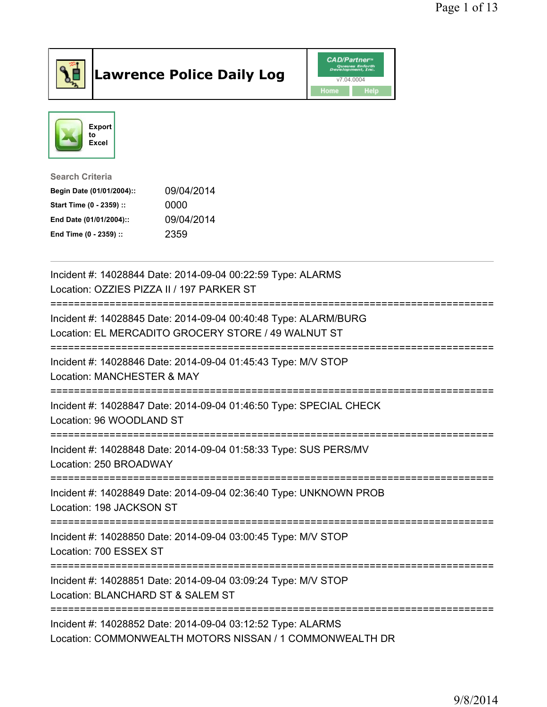

## Lawrence Police Daily Log **Daniel CAD/Partner**





Search Criteria Begin Date (01/01/2004):: 09/04/2014 Start Time (0 - 2359) :: 0000 End Date (01/01/2004):: 09/04/2014 End Time (0 - 2359) :: 2359

| Incident #: 14028844 Date: 2014-09-04 00:22:59 Type: ALARMS<br>Location: OZZIES PIZZA II / 197 PARKER ST                |
|-------------------------------------------------------------------------------------------------------------------------|
| Incident #: 14028845 Date: 2014-09-04 00:40:48 Type: ALARM/BURG<br>Location: EL MERCADITO GROCERY STORE / 49 WALNUT ST  |
| Incident #: 14028846 Date: 2014-09-04 01:45:43 Type: M/V STOP<br>Location: MANCHESTER & MAY                             |
| Incident #: 14028847 Date: 2014-09-04 01:46:50 Type: SPECIAL CHECK<br>Location: 96 WOODLAND ST                          |
| Incident #: 14028848 Date: 2014-09-04 01:58:33 Type: SUS PERS/MV<br>Location: 250 BROADWAY                              |
| Incident #: 14028849 Date: 2014-09-04 02:36:40 Type: UNKNOWN PROB<br>Location: 198 JACKSON ST                           |
| Incident #: 14028850 Date: 2014-09-04 03:00:45 Type: M/V STOP<br>Location: 700 ESSEX ST                                 |
| Incident #: 14028851 Date: 2014-09-04 03:09:24 Type: M/V STOP<br>Location: BLANCHARD ST & SALEM ST                      |
| Incident #: 14028852 Date: 2014-09-04 03:12:52 Type: ALARMS<br>Location: COMMONWEALTH MOTORS NISSAN / 1 COMMONWEALTH DR |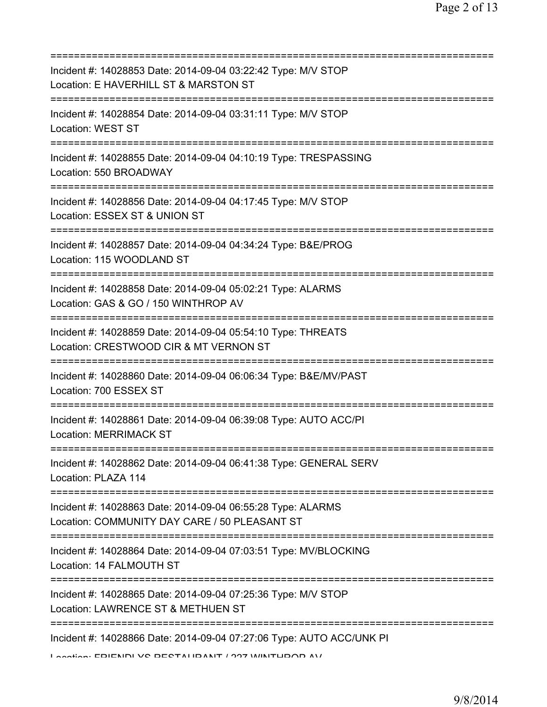| Incident #: 14028853 Date: 2014-09-04 03:22:42 Type: M/V STOP<br>Location: E HAVERHILL ST & MARSTON ST                                                                 |
|------------------------------------------------------------------------------------------------------------------------------------------------------------------------|
| Incident #: 14028854 Date: 2014-09-04 03:31:11 Type: M/V STOP<br>Location: WEST ST                                                                                     |
| Incident #: 14028855 Date: 2014-09-04 04:10:19 Type: TRESPASSING<br>Location: 550 BROADWAY                                                                             |
| Incident #: 14028856 Date: 2014-09-04 04:17:45 Type: M/V STOP<br>Location: ESSEX ST & UNION ST<br>========================                                             |
| Incident #: 14028857 Date: 2014-09-04 04:34:24 Type: B&E/PROG<br>Location: 115 WOODLAND ST<br>=====================================                                    |
| Incident #: 14028858 Date: 2014-09-04 05:02:21 Type: ALARMS<br>Location: GAS & GO / 150 WINTHROP AV                                                                    |
| Incident #: 14028859 Date: 2014-09-04 05:54:10 Type: THREATS<br>Location: CRESTWOOD CIR & MT VERNON ST                                                                 |
| -------------------<br>Incident #: 14028860 Date: 2014-09-04 06:06:34 Type: B&E/MV/PAST<br>Location: 700 ESSEX ST                                                      |
| Incident #: 14028861 Date: 2014-09-04 06:39:08 Type: AUTO ACC/PI<br><b>Location: MERRIMACK ST</b>                                                                      |
| Incident #: 14028862 Date: 2014-09-04 06:41:38 Type: GENERAL SERV<br>Location: PLAZA 114                                                                               |
| Incident #: 14028863 Date: 2014-09-04 06:55:28 Type: ALARMS<br>Location: COMMUNITY DAY CARE / 50 PLEASANT ST                                                           |
| Incident #: 14028864 Date: 2014-09-04 07:03:51 Type: MV/BLOCKING<br>Location: 14 FALMOUTH ST                                                                           |
| Incident #: 14028865 Date: 2014-09-04 07:25:36 Type: M/V STOP<br>Location: LAWRENCE ST & METHUEN ST                                                                    |
| ==============================<br>Incident #: 14028866 Date: 2014-09-04 07:27:06 Type: AUTO ACC/UNK PI<br><b>Lootion: EDIENINI VO DECTALIDANIT / 997 MINITUDOD AV/</b> |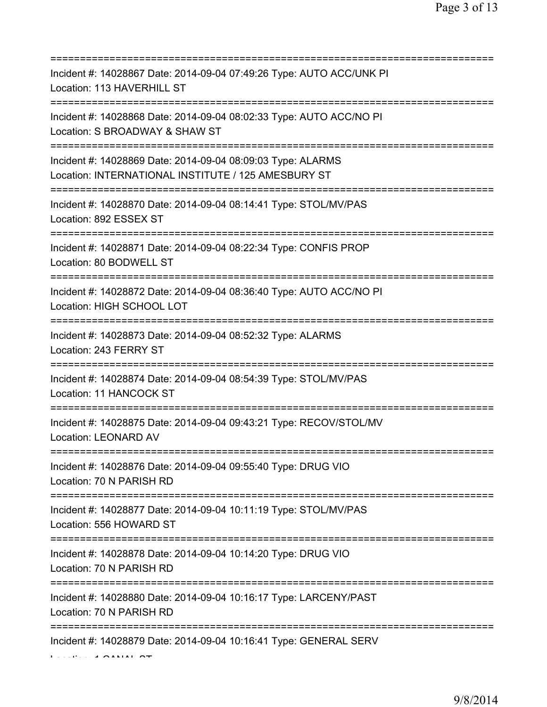| Incident #: 14028867 Date: 2014-09-04 07:49:26 Type: AUTO ACC/UNK PI<br>Location: 113 HAVERHILL ST                                   |
|--------------------------------------------------------------------------------------------------------------------------------------|
| Incident #: 14028868 Date: 2014-09-04 08:02:33 Type: AUTO ACC/NO PI<br>Location: S BROADWAY & SHAW ST<br>=======================     |
| Incident #: 14028869 Date: 2014-09-04 08:09:03 Type: ALARMS<br>Location: INTERNATIONAL INSTITUTE / 125 AMESBURY ST                   |
| Incident #: 14028870 Date: 2014-09-04 08:14:41 Type: STOL/MV/PAS<br>Location: 892 ESSEX ST<br>=========================              |
| Incident #: 14028871 Date: 2014-09-04 08:22:34 Type: CONFIS PROP<br>Location: 80 BODWELL ST                                          |
| Incident #: 14028872 Date: 2014-09-04 08:36:40 Type: AUTO ACC/NO PI<br>Location: HIGH SCHOOL LOT                                     |
| Incident #: 14028873 Date: 2014-09-04 08:52:32 Type: ALARMS<br>Location: 243 FERRY ST                                                |
| Incident #: 14028874 Date: 2014-09-04 08:54:39 Type: STOL/MV/PAS<br>Location: 11 HANCOCK ST                                          |
| Incident #: 14028875 Date: 2014-09-04 09:43:21 Type: RECOV/STOL/MV<br><b>Location: LEONARD AV</b>                                    |
| Incident #: 14028876 Date: 2014-09-04 09:55:40 Type: DRUG VIO<br>Location: 70 N PARISH RD                                            |
| Incident #: 14028877 Date: 2014-09-04 10:11:19 Type: STOL/MV/PAS<br>Location: 556 HOWARD ST<br>===================================== |
| Incident #: 14028878 Date: 2014-09-04 10:14:20 Type: DRUG VIO<br>Location: 70 N PARISH RD                                            |
| Incident #: 14028880 Date: 2014-09-04 10:16:17 Type: LARCENY/PAST<br>Location: 70 N PARISH RD                                        |
| Incident #: 14028879 Date: 2014-09-04 10:16:41 Type: GENERAL SERV                                                                    |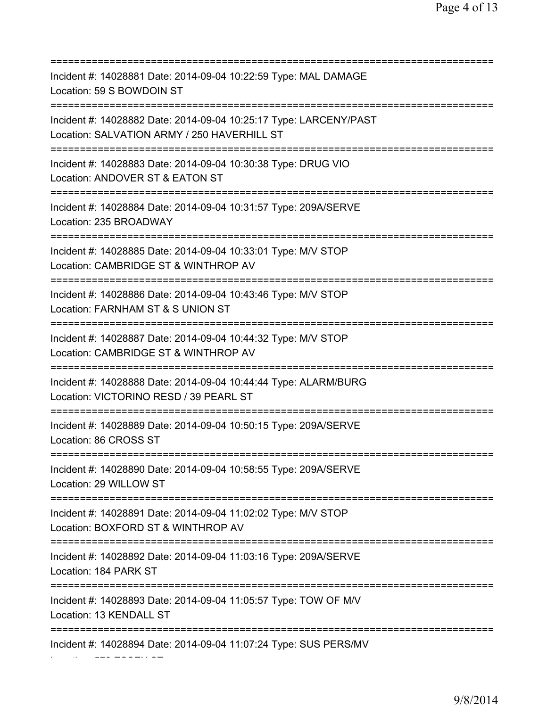| Incident #: 14028881 Date: 2014-09-04 10:22:59 Type: MAL DAMAGE<br>Location: 59 S BOWDOIN ST                                                 |
|----------------------------------------------------------------------------------------------------------------------------------------------|
| Incident #: 14028882 Date: 2014-09-04 10:25:17 Type: LARCENY/PAST<br>Location: SALVATION ARMY / 250 HAVERHILL ST<br>======================== |
| Incident #: 14028883 Date: 2014-09-04 10:30:38 Type: DRUG VIO<br>Location: ANDOVER ST & EATON ST<br>=====================================    |
| Incident #: 14028884 Date: 2014-09-04 10:31:57 Type: 209A/SERVE<br>Location: 235 BROADWAY<br>====================================            |
| Incident #: 14028885 Date: 2014-09-04 10:33:01 Type: M/V STOP<br>Location: CAMBRIDGE ST & WINTHROP AV                                        |
| Incident #: 14028886 Date: 2014-09-04 10:43:46 Type: M/V STOP<br>Location: FARNHAM ST & S UNION ST                                           |
| Incident #: 14028887 Date: 2014-09-04 10:44:32 Type: M/V STOP<br>Location: CAMBRIDGE ST & WINTHROP AV                                        |
| Incident #: 14028888 Date: 2014-09-04 10:44:44 Type: ALARM/BURG<br>Location: VICTORINO RESD / 39 PEARL ST                                    |
| Incident #: 14028889 Date: 2014-09-04 10:50:15 Type: 209A/SERVE<br>Location: 86 CROSS ST                                                     |
| Incident #: 14028890 Date: 2014-09-04 10:58:55 Type: 209A/SERVE<br>Location: 29 WILLOW ST                                                    |
| Incident #: 14028891 Date: 2014-09-04 11:02:02 Type: M/V STOP<br>Location: BOXFORD ST & WINTHROP AV                                          |
| Incident #: 14028892 Date: 2014-09-04 11:03:16 Type: 209A/SERVE<br>Location: 184 PARK ST                                                     |
| Incident #: 14028893 Date: 2014-09-04 11:05:57 Type: TOW OF M/V<br>Location: 13 KENDALL ST                                                   |
| Incident #: 14028894 Date: 2014-09-04 11:07:24 Type: SUS PERS/MV                                                                             |

Location: 572 ESSEX ST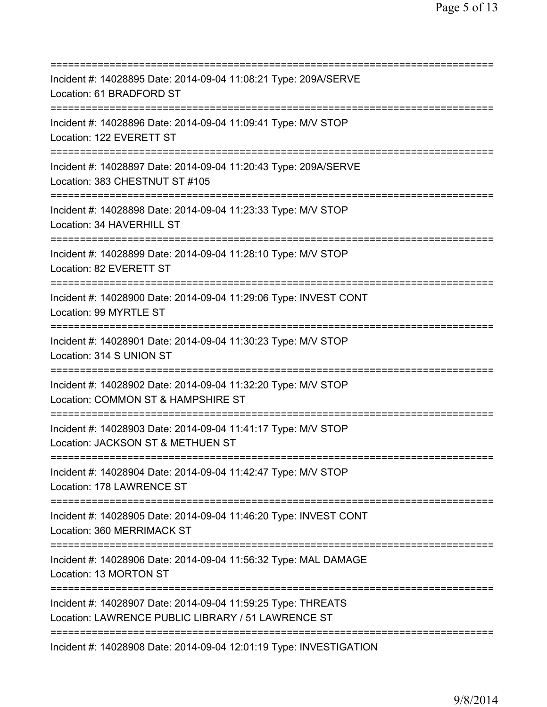| ===========================                                                                                        |
|--------------------------------------------------------------------------------------------------------------------|
| Incident #: 14028895 Date: 2014-09-04 11:08:21 Type: 209A/SERVE<br>Location: 61 BRADFORD ST                        |
| Incident #: 14028896 Date: 2014-09-04 11:09:41 Type: M/V STOP<br>Location: 122 EVERETT ST                          |
| Incident #: 14028897 Date: 2014-09-04 11:20:43 Type: 209A/SERVE<br>Location: 383 CHESTNUT ST #105                  |
| Incident #: 14028898 Date: 2014-09-04 11:23:33 Type: M/V STOP<br>Location: 34 HAVERHILL ST                         |
| Incident #: 14028899 Date: 2014-09-04 11:28:10 Type: M/V STOP<br>Location: 82 EVERETT ST                           |
| Incident #: 14028900 Date: 2014-09-04 11:29:06 Type: INVEST CONT<br>Location: 99 MYRTLE ST                         |
| Incident #: 14028901 Date: 2014-09-04 11:30:23 Type: M/V STOP<br>Location: 314 S UNION ST                          |
| Incident #: 14028902 Date: 2014-09-04 11:32:20 Type: M/V STOP<br>Location: COMMON ST & HAMPSHIRE ST                |
| Incident #: 14028903 Date: 2014-09-04 11:41:17 Type: M/V STOP<br>Location: JACKSON ST & METHUEN ST                 |
| Incident #: 14028904 Date: 2014-09-04 11:42:47 Type: M/V STOP<br>Location: 178 LAWRENCE ST                         |
| Incident #: 14028905 Date: 2014-09-04 11:46:20 Type: INVEST CONT<br>Location: 360 MERRIMACK ST                     |
| Incident #: 14028906 Date: 2014-09-04 11:56:32 Type: MAL DAMAGE<br>Location: 13 MORTON ST                          |
| Incident #: 14028907 Date: 2014-09-04 11:59:25 Type: THREATS<br>Location: LAWRENCE PUBLIC LIBRARY / 51 LAWRENCE ST |
| ==================================<br>Incident #: 14028908 Date: 2014-09-04 12:01:19 Type: INVESTIGATION           |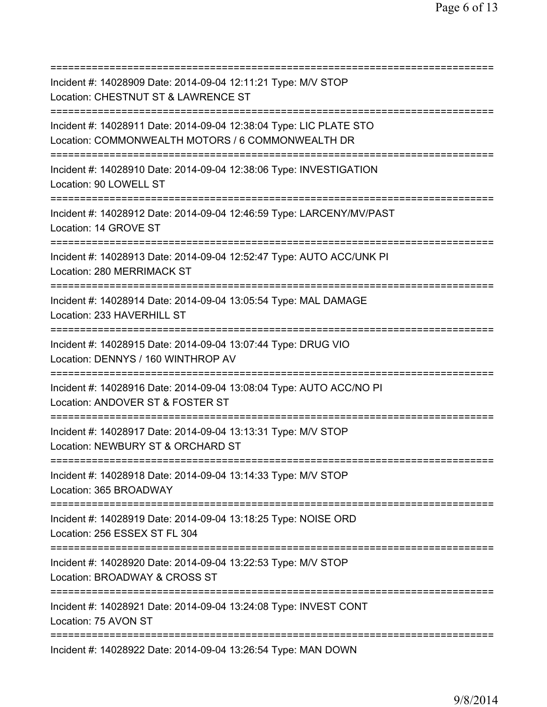| Incident #: 14028909 Date: 2014-09-04 12:11:21 Type: M/V STOP<br>Location: CHESTNUT ST & LAWRENCE ST                                   |
|----------------------------------------------------------------------------------------------------------------------------------------|
| Incident #: 14028911 Date: 2014-09-04 12:38:04 Type: LIC PLATE STO<br>Location: COMMONWEALTH MOTORS / 6 COMMONWEALTH DR                |
| Incident #: 14028910 Date: 2014-09-04 12:38:06 Type: INVESTIGATION<br>Location: 90 LOWELL ST<br>====================================== |
| Incident #: 14028912 Date: 2014-09-04 12:46:59 Type: LARCENY/MV/PAST<br>Location: 14 GROVE ST<br>==============================        |
| Incident #: 14028913 Date: 2014-09-04 12:52:47 Type: AUTO ACC/UNK PI<br>Location: 280 MERRIMACK ST                                     |
| Incident #: 14028914 Date: 2014-09-04 13:05:54 Type: MAL DAMAGE<br>Location: 233 HAVERHILL ST<br>===================================== |
| Incident #: 14028915 Date: 2014-09-04 13:07:44 Type: DRUG VIO<br>Location: DENNYS / 160 WINTHROP AV                                    |
| Incident #: 14028916 Date: 2014-09-04 13:08:04 Type: AUTO ACC/NO PI<br>Location: ANDOVER ST & FOSTER ST                                |
| Incident #: 14028917 Date: 2014-09-04 13:13:31 Type: M/V STOP<br>Location: NEWBURY ST & ORCHARD ST                                     |
| Incident #: 14028918 Date: 2014-09-04 13:14:33 Type: M/V STOP<br>Location: 365 BROADWAY                                                |
| ================================<br>Incident #: 14028919 Date: 2014-09-04 13:18:25 Type: NOISE ORD<br>Location: 256 ESSEX ST FL 304    |
| Incident #: 14028920 Date: 2014-09-04 13:22:53 Type: M/V STOP<br>Location: BROADWAY & CROSS ST                                         |
| Incident #: 14028921 Date: 2014-09-04 13:24:08 Type: INVEST CONT<br>Location: 75 AVON ST                                               |
| Incident #: 14028922 Date: 2014-09-04 13:26:54 Type: MAN DOWN                                                                          |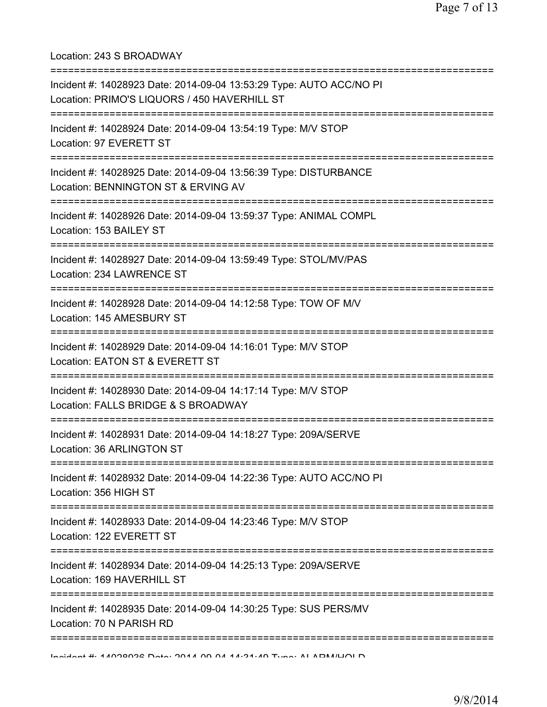Location: 243 S BROADWAY

| Incident #: 14028923 Date: 2014-09-04 13:53:29 Type: AUTO ACC/NO PI<br>Location: PRIMO'S LIQUORS / 450 HAVERHILL ST                  |
|--------------------------------------------------------------------------------------------------------------------------------------|
| Incident #: 14028924 Date: 2014-09-04 13:54:19 Type: M/V STOP<br>Location: 97 EVERETT ST                                             |
| Incident #: 14028925 Date: 2014-09-04 13:56:39 Type: DISTURBANCE<br>Location: BENNINGTON ST & ERVING AV<br> ======================== |
| Incident #: 14028926 Date: 2014-09-04 13:59:37 Type: ANIMAL COMPL<br>Location: 153 BAILEY ST                                         |
| Incident #: 14028927 Date: 2014-09-04 13:59:49 Type: STOL/MV/PAS<br>Location: 234 LAWRENCE ST                                        |
| Incident #: 14028928 Date: 2014-09-04 14:12:58 Type: TOW OF M/V<br>Location: 145 AMESBURY ST                                         |
| Incident #: 14028929 Date: 2014-09-04 14:16:01 Type: M/V STOP<br>Location: EATON ST & EVERETT ST                                     |
| Incident #: 14028930 Date: 2014-09-04 14:17:14 Type: M/V STOP<br>Location: FALLS BRIDGE & S BROADWAY                                 |
| Incident #: 14028931 Date: 2014-09-04 14:18:27 Type: 209A/SERVE<br>Location: 36 ARLINGTON ST                                         |
| Incident #: 14028932 Date: 2014-09-04 14:22:36 Type: AUTO ACC/NO PI<br>Location: 356 HIGH ST                                         |
| Incident #: 14028933 Date: 2014-09-04 14:23:46 Type: M/V STOP<br>Location: 122 EVERETT ST                                            |
| Incident #: 14028934 Date: 2014-09-04 14:25:13 Type: 209A/SERVE<br>Location: 169 HAVERHILL ST                                        |
| Incident #: 14028935 Date: 2014-09-04 14:30:25 Type: SUS PERS/MV<br>Location: 70 N PARISH RD                                         |
| Individual 4. 4 400002 Data: 204 A OO A A4.04.40 Tung: Al ADMILIOI D                                                                 |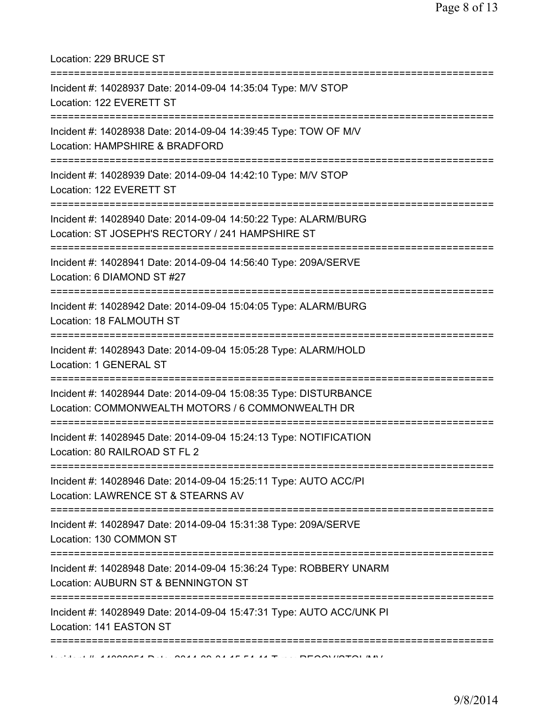Location: 229 BRUCE ST

| Incident #: 14028937 Date: 2014-09-04 14:35:04 Type: M/V STOP<br>Location: 122 EVERETT ST                                              |
|----------------------------------------------------------------------------------------------------------------------------------------|
| Incident #: 14028938 Date: 2014-09-04 14:39:45 Type: TOW OF M/V<br>Location: HAMPSHIRE & BRADFORD<br>================================= |
| Incident #: 14028939 Date: 2014-09-04 14:42:10 Type: M/V STOP<br>Location: 122 EVERETT ST                                              |
| Incident #: 14028940 Date: 2014-09-04 14:50:22 Type: ALARM/BURG<br>Location: ST JOSEPH'S RECTORY / 241 HAMPSHIRE ST                    |
| Incident #: 14028941 Date: 2014-09-04 14:56:40 Type: 209A/SERVE<br>Location: 6 DIAMOND ST #27                                          |
| Incident #: 14028942 Date: 2014-09-04 15:04:05 Type: ALARM/BURG<br>Location: 18 FALMOUTH ST                                            |
| Incident #: 14028943 Date: 2014-09-04 15:05:28 Type: ALARM/HOLD<br>Location: 1 GENERAL ST                                              |
| Incident #: 14028944 Date: 2014-09-04 15:08:35 Type: DISTURBANCE<br>Location: COMMONWEALTH MOTORS / 6 COMMONWEALTH DR                  |
| Incident #: 14028945 Date: 2014-09-04 15:24:13 Type: NOTIFICATION<br>Location: 80 RAILROAD ST FL 2                                     |
| Incident #: 14028946 Date: 2014-09-04 15:25:11 Type: AUTO ACC/PI<br>Location: LAWRENCE ST & STEARNS AV                                 |
| Incident #: 14028947 Date: 2014-09-04 15:31:38 Type: 209A/SERVE<br>Location: 130 COMMON ST                                             |
| Incident #: 14028948 Date: 2014-09-04 15:36:24 Type: ROBBERY UNARM<br>Location: AUBURN ST & BENNINGTON ST                              |
| Incident #: 14028949 Date: 2014-09-04 15:47:31 Type: AUTO ACC/UNK PI<br>Location: 141 EASTON ST                                        |
|                                                                                                                                        |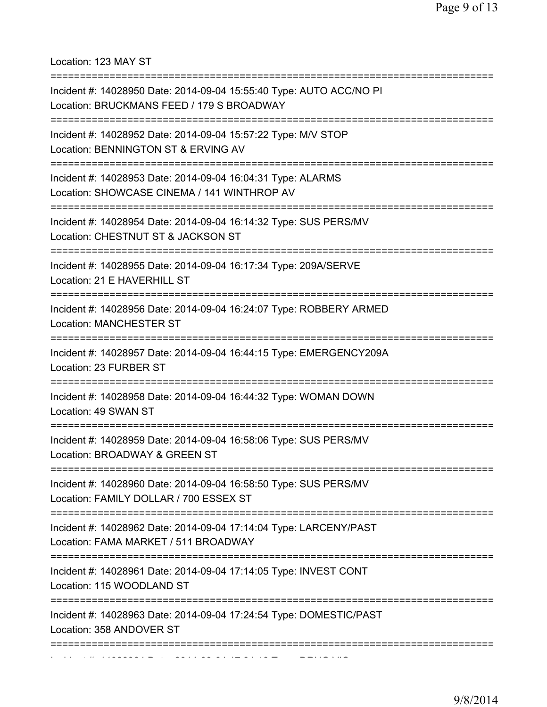Location: 123 MAY ST

| Incident #: 14028950 Date: 2014-09-04 15:55:40 Type: AUTO ACC/NO PI<br>Location: BRUCKMANS FEED / 179 S BROADWAY                  |
|-----------------------------------------------------------------------------------------------------------------------------------|
| Incident #: 14028952 Date: 2014-09-04 15:57:22 Type: M/V STOP<br>Location: BENNINGTON ST & ERVING AV                              |
| Incident #: 14028953 Date: 2014-09-04 16:04:31 Type: ALARMS<br>Location: SHOWCASE CINEMA / 141 WINTHROP AV                        |
| Incident #: 14028954 Date: 2014-09-04 16:14:32 Type: SUS PERS/MV<br>Location: CHESTNUT ST & JACKSON ST<br>----------------------- |
| Incident #: 14028955 Date: 2014-09-04 16:17:34 Type: 209A/SERVE<br>Location: 21 E HAVERHILL ST                                    |
| Incident #: 14028956 Date: 2014-09-04 16:24:07 Type: ROBBERY ARMED<br><b>Location: MANCHESTER ST</b>                              |
| Incident #: 14028957 Date: 2014-09-04 16:44:15 Type: EMERGENCY209A<br>Location: 23 FURBER ST                                      |
| Incident #: 14028958 Date: 2014-09-04 16:44:32 Type: WOMAN DOWN<br>Location: 49 SWAN ST                                           |
| Incident #: 14028959 Date: 2014-09-04 16:58:06 Type: SUS PERS/MV<br>Location: BROADWAY & GREEN ST                                 |
| Incident #: 14028960 Date: 2014-09-04 16:58:50 Type: SUS PERS/MV<br>Location: FAMILY DOLLAR / 700 ESSEX ST                        |
| Incident #: 14028962 Date: 2014-09-04 17:14:04 Type: LARCENY/PAST<br>Location: FAMA MARKET / 511 BROADWAY                         |
| Incident #: 14028961 Date: 2014-09-04 17:14:05 Type: INVEST CONT<br>Location: 115 WOODLAND ST                                     |
| Incident #: 14028963 Date: 2014-09-04 17:24:54 Type: DOMESTIC/PAST<br>Location: 358 ANDOVER ST                                    |
|                                                                                                                                   |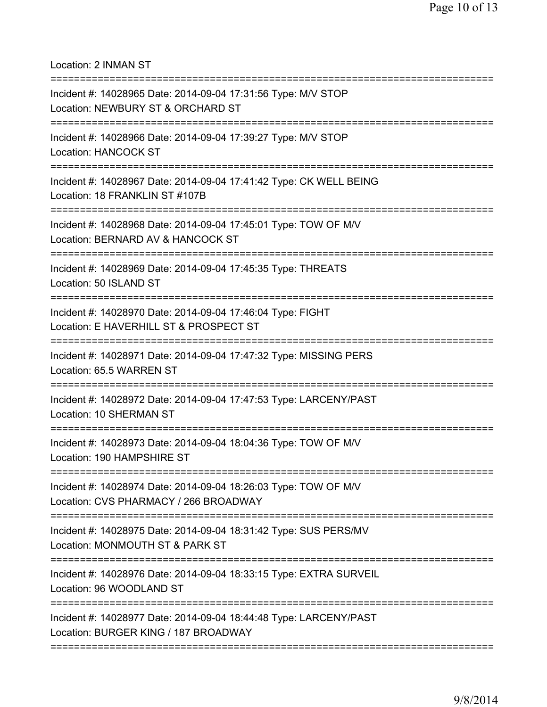Location: 2 INMAN ST

| Incident #: 14028965 Date: 2014-09-04 17:31:56 Type: M/V STOP<br>Location: NEWBURY ST & ORCHARD ST<br>============================== |
|--------------------------------------------------------------------------------------------------------------------------------------|
| Incident #: 14028966 Date: 2014-09-04 17:39:27 Type: M/V STOP<br><b>Location: HANCOCK ST</b>                                         |
| Incident #: 14028967 Date: 2014-09-04 17:41:42 Type: CK WELL BEING<br>Location: 18 FRANKLIN ST #107B                                 |
| Incident #: 14028968 Date: 2014-09-04 17:45:01 Type: TOW OF M/V<br>Location: BERNARD AV & HANCOCK ST                                 |
| Incident #: 14028969 Date: 2014-09-04 17:45:35 Type: THREATS<br>Location: 50 ISLAND ST<br>=============================              |
| Incident #: 14028970 Date: 2014-09-04 17:46:04 Type: FIGHT<br>Location: E HAVERHILL ST & PROSPECT ST                                 |
| Incident #: 14028971 Date: 2014-09-04 17:47:32 Type: MISSING PERS<br>Location: 65.5 WARREN ST                                        |
| Incident #: 14028972 Date: 2014-09-04 17:47:53 Type: LARCENY/PAST<br>Location: 10 SHERMAN ST                                         |
| Incident #: 14028973 Date: 2014-09-04 18:04:36 Type: TOW OF M/V<br>Location: 190 HAMPSHIRE ST                                        |
| Incident #: 14028974 Date: 2014-09-04 18:26:03 Type: TOW OF M/V<br>Location: CVS PHARMACY / 266 BROADWAY                             |
| Incident #: 14028975 Date: 2014-09-04 18:31:42 Type: SUS PERS/MV<br>Location: MONMOUTH ST & PARK ST                                  |
| Incident #: 14028976 Date: 2014-09-04 18:33:15 Type: EXTRA SURVEIL<br>Location: 96 WOODLAND ST                                       |
| Incident #: 14028977 Date: 2014-09-04 18:44:48 Type: LARCENY/PAST<br>Location: BURGER KING / 187 BROADWAY                            |
|                                                                                                                                      |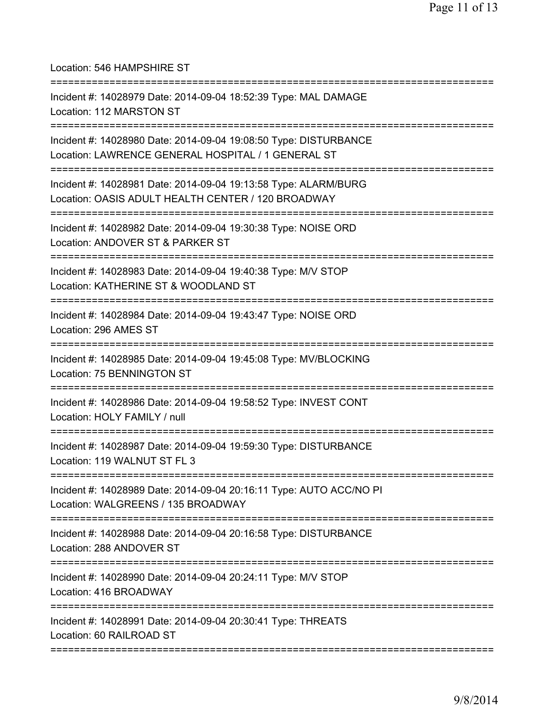Location: 546 HAMPSHIRE ST =========================================================================== Incident #: 14028979 Date: 2014-09-04 18:52:39 Type: MAL DAMAGE Location: 112 MARSTON ST =========================================================================== Incident #: 14028980 Date: 2014-09-04 19:08:50 Type: DISTURBANCE Location: LAWRENCE GENERAL HOSPITAL / 1 GENERAL ST =========================================================================== Incident #: 14028981 Date: 2014-09-04 19:13:58 Type: ALARM/BURG Location: OASIS ADULT HEALTH CENTER / 120 BROADWAY =========================================================================== Incident #: 14028982 Date: 2014-09-04 19:30:38 Type: NOISE ORD Location: ANDOVER ST & PARKER ST =========================================================================== Incident #: 14028983 Date: 2014-09-04 19:40:38 Type: M/V STOP Location: KATHERINE ST & WOODLAND ST =========================================================================== Incident #: 14028984 Date: 2014-09-04 19:43:47 Type: NOISE ORD Location: 296 AMES ST =========================================================================== Incident #: 14028985 Date: 2014-09-04 19:45:08 Type: MV/BLOCKING Location: 75 BENNINGTON ST =========================================================================== Incident #: 14028986 Date: 2014-09-04 19:58:52 Type: INVEST CONT Location: HOLY FAMILY / null =========================================================================== Incident #: 14028987 Date: 2014-09-04 19:59:30 Type: DISTURBANCE Location: 119 WALNUT ST FL 3 =========================================================================== Incident #: 14028989 Date: 2014-09-04 20:16:11 Type: AUTO ACC/NO PI Location: WALGREENS / 135 BROADWAY =========================================================================== Incident #: 14028988 Date: 2014-09-04 20:16:58 Type: DISTURBANCE Location: 288 ANDOVER ST =========================================================================== Incident #: 14028990 Date: 2014-09-04 20:24:11 Type: M/V STOP Location: 416 BROADWAY =========================================================================== Incident #: 14028991 Date: 2014-09-04 20:30:41 Type: THREATS Location: 60 RAILROAD ST ===========================================================================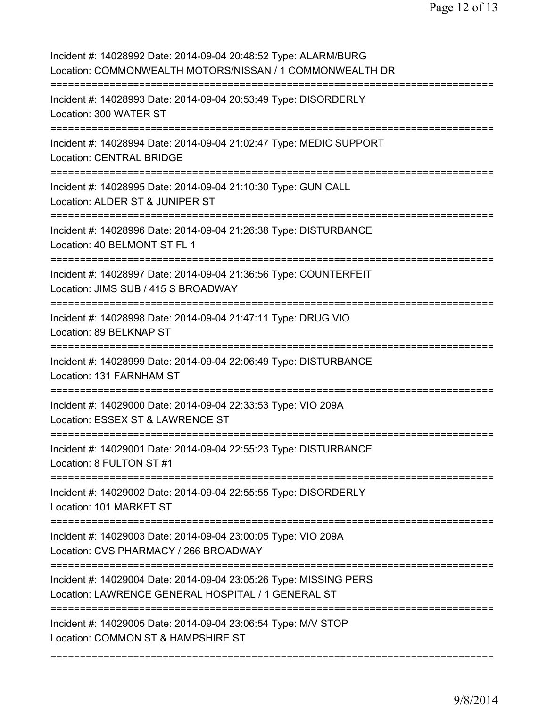| Incident #: 14028992 Date: 2014-09-04 20:48:52 Type: ALARM/BURG<br>Location: COMMONWEALTH MOTORS/NISSAN / 1 COMMONWEALTH DR        |
|------------------------------------------------------------------------------------------------------------------------------------|
| Incident #: 14028993 Date: 2014-09-04 20:53:49 Type: DISORDERLY<br>Location: 300 WATER ST                                          |
| Incident #: 14028994 Date: 2014-09-04 21:02:47 Type: MEDIC SUPPORT<br><b>Location: CENTRAL BRIDGE</b>                              |
| Incident #: 14028995 Date: 2014-09-04 21:10:30 Type: GUN CALL<br>Location: ALDER ST & JUNIPER ST                                   |
| Incident #: 14028996 Date: 2014-09-04 21:26:38 Type: DISTURBANCE<br>Location: 40 BELMONT ST FL 1                                   |
| Incident #: 14028997 Date: 2014-09-04 21:36:56 Type: COUNTERFEIT<br>Location: JIMS SUB / 415 S BROADWAY                            |
| Incident #: 14028998 Date: 2014-09-04 21:47:11 Type: DRUG VIO<br>Location: 89 BELKNAP ST<br>====================================== |
| Incident #: 14028999 Date: 2014-09-04 22:06:49 Type: DISTURBANCE<br>Location: 131 FARNHAM ST                                       |
| Incident #: 14029000 Date: 2014-09-04 22:33:53 Type: VIO 209A<br>Location: ESSEX ST & LAWRENCE ST                                  |
| Incident #: 14029001 Date: 2014-09-04 22:55:23 Type: DISTURBANCE<br>Location: 8 FULTON ST #1                                       |
| Incident #: 14029002 Date: 2014-09-04 22:55:55 Type: DISORDERLY<br>Location: 101 MARKET ST                                         |
| Incident #: 14029003 Date: 2014-09-04 23:00:05 Type: VIO 209A<br>Location: CVS PHARMACY / 266 BROADWAY                             |
| Incident #: 14029004 Date: 2014-09-04 23:05:26 Type: MISSING PERS<br>Location: LAWRENCE GENERAL HOSPITAL / 1 GENERAL ST            |
| Incident #: 14029005 Date: 2014-09-04 23:06:54 Type: M/V STOP<br>Location: COMMON ST & HAMPSHIRE ST                                |
|                                                                                                                                    |

===========================================================================